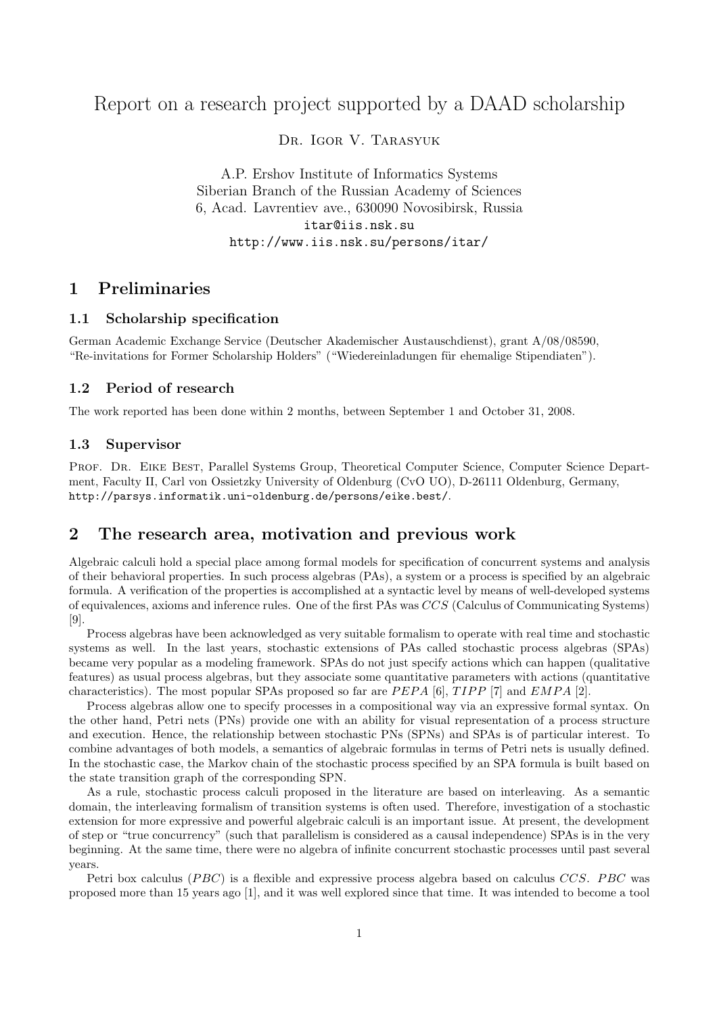# Report on a research project supported by a DAAD scholarship

Dr. Igor V. Tarasyuk

A.P. Ershov Institute of Informatics Systems Siberian Branch of the Russian Academy of Sciences 6, Acad. Lavrentiev ave., 630090 Novosibirsk, Russia itar@iis.nsk.su http://www.iis.nsk.su/persons/itar/

## 1 Preliminaries

### 1.1 Scholarship specification

German Academic Exchange Service (Deutscher Akademischer Austauschdienst), grant A/08/08590, "Re-invitations for Former Scholarship Holders" ("Wiedereinladungen für ehemalige Stipendiaten").

### 1.2 Period of research

The work reported has been done within 2 months, between September 1 and October 31, 2008.

### 1.3 Supervisor

PROF. DR. EIKE BEST, Parallel Systems Group, Theoretical Computer Science, Computer Science Department, Faculty II, Carl von Ossietzky University of Oldenburg (CvO UO), D-26111 Oldenburg, Germany, http://parsys.informatik.uni-oldenburg.de/persons/eike.best/.

## 2 The research area, motivation and previous work

Algebraic calculi hold a special place among formal models for specification of concurrent systems and analysis of their behavioral properties. In such process algebras (PAs), a system or a process is specified by an algebraic formula. A verification of the properties is accomplished at a syntactic level by means of well-developed systems of equivalences, axioms and inference rules. One of the first PAs was CCS (Calculus of Communicating Systems) [9].

Process algebras have been acknowledged as very suitable formalism to operate with real time and stochastic systems as well. In the last years, stochastic extensions of PAs called stochastic process algebras (SPAs) became very popular as a modeling framework. SPAs do not just specify actions which can happen (qualitative features) as usual process algebras, but they associate some quantitative parameters with actions (quantitative characteristics). The most popular SPAs proposed so far are  $PEPA$  [6],  $TIPP$  [7] and  $EMPA$  [2].

Process algebras allow one to specify processes in a compositional way via an expressive formal syntax. On the other hand, Petri nets (PNs) provide one with an ability for visual representation of a process structure and execution. Hence, the relationship between stochastic PNs (SPNs) and SPAs is of particular interest. To combine advantages of both models, a semantics of algebraic formulas in terms of Petri nets is usually defined. In the stochastic case, the Markov chain of the stochastic process specified by an SPA formula is built based on the state transition graph of the corresponding SPN.

As a rule, stochastic process calculi proposed in the literature are based on interleaving. As a semantic domain, the interleaving formalism of transition systems is often used. Therefore, investigation of a stochastic extension for more expressive and powerful algebraic calculi is an important issue. At present, the development of step or "true concurrency" (such that parallelism is considered as a causal independence) SPAs is in the very beginning. At the same time, there were no algebra of infinite concurrent stochastic processes until past several years.

Petri box calculus (PBC) is a flexible and expressive process algebra based on calculus CCS. PBC was proposed more than 15 years ago [1], and it was well explored since that time. It was intended to become a tool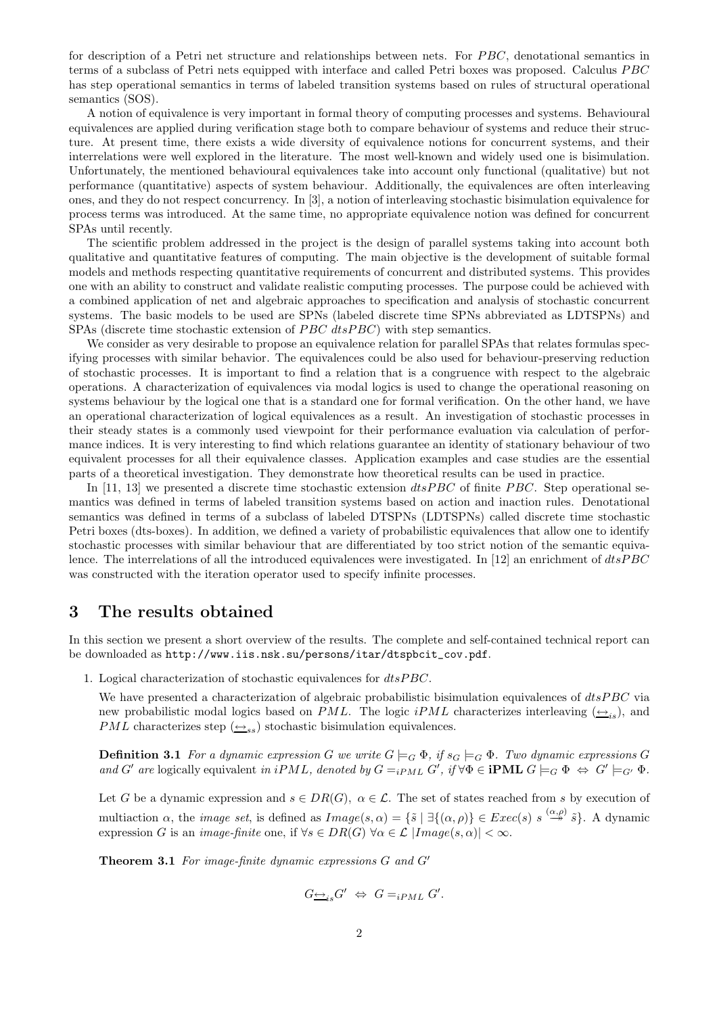for description of a Petri net structure and relationships between nets. For PBC, denotational semantics in terms of a subclass of Petri nets equipped with interface and called Petri boxes was proposed. Calculus PBC has step operational semantics in terms of labeled transition systems based on rules of structural operational semantics (SOS).

A notion of equivalence is very important in formal theory of computing processes and systems. Behavioural equivalences are applied during verification stage both to compare behaviour of systems and reduce their structure. At present time, there exists a wide diversity of equivalence notions for concurrent systems, and their interrelations were well explored in the literature. The most well-known and widely used one is bisimulation. Unfortunately, the mentioned behavioural equivalences take into account only functional (qualitative) but not performance (quantitative) aspects of system behaviour. Additionally, the equivalences are often interleaving ones, and they do not respect concurrency. In [3], a notion of interleaving stochastic bisimulation equivalence for process terms was introduced. At the same time, no appropriate equivalence notion was defined for concurrent SPAs until recently.

The scientific problem addressed in the project is the design of parallel systems taking into account both qualitative and quantitative features of computing. The main objective is the development of suitable formal models and methods respecting quantitative requirements of concurrent and distributed systems. This provides one with an ability to construct and validate realistic computing processes. The purpose could be achieved with a combined application of net and algebraic approaches to specification and analysis of stochastic concurrent systems. The basic models to be used are SPNs (labeled discrete time SPNs abbreviated as LDTSPNs) and SPAs (discrete time stochastic extension of *PBC dtsPBC*) with step semantics.

We consider as very desirable to propose an equivalence relation for parallel SPAs that relates formulas specifying processes with similar behavior. The equivalences could be also used for behaviour-preserving reduction of stochastic processes. It is important to find a relation that is a congruence with respect to the algebraic operations. A characterization of equivalences via modal logics is used to change the operational reasoning on systems behaviour by the logical one that is a standard one for formal verification. On the other hand, we have an operational characterization of logical equivalences as a result. An investigation of stochastic processes in their steady states is a commonly used viewpoint for their performance evaluation via calculation of performance indices. It is very interesting to find which relations guarantee an identity of stationary behaviour of two equivalent processes for all their equivalence classes. Application examples and case studies are the essential parts of a theoretical investigation. They demonstrate how theoretical results can be used in practice.

In [11, 13] we presented a discrete time stochastic extension  $dtsPBC$  of finite PBC. Step operational semantics was defined in terms of labeled transition systems based on action and inaction rules. Denotational semantics was defined in terms of a subclass of labeled DTSPNs (LDTSPNs) called discrete time stochastic Petri boxes (dts-boxes). In addition, we defined a variety of probabilistic equivalences that allow one to identify stochastic processes with similar behaviour that are differentiated by too strict notion of the semantic equivalence. The interrelations of all the introduced equivalences were investigated. In [12] an enrichment of  $dtsPBC$ was constructed with the iteration operator used to specify infinite processes.

### 3 The results obtained

In this section we present a short overview of the results. The complete and self-contained technical report can be downloaded as http://www.iis.nsk.su/persons/itar/dtspbcit\_cov.pdf.

1. Logical characterization of stochastic equivalences for dtsPBC.

We have presented a characterization of algebraic probabilistic bisimulation equivalences of dtsPBC via new probabilistic modal logics based on PML. The logic  $iPML$  characterizes interleaving  $(\leftrightarrow_i)$ , and *PML* characterizes step  $(\triangle_{ss})$  stochastic bisimulation equivalences.

**Definition 3.1** For a dynamic expression G we write  $G \models_G \Phi$ , if  $s_G \models_G \Phi$ . Two dynamic expressions G and G' are logically equivalent in iPML, denoted by  $G =_{iPML} G'$ , if  $\forall \Phi \in \textbf{IPML } G \models_G \Phi \Leftrightarrow G' \models_{G'} \Phi$ .

Let G be a dynamic expression and  $s \in DR(G)$ ,  $\alpha \in \mathcal{L}$ . The set of states reached from s by execution of multiaction  $\alpha$ , the *image set*, is defined as  $Image(s, \alpha) = \{\tilde{s} \mid \exists \{(\alpha, \rho)\}\in Excel(s) \text{ s} \stackrel{(\alpha, \rho)}{\longrightarrow} \tilde{s}\}.$  A dynamic expression G is an *image-finite* one, if  $\forall s \in DR(G)$   $\forall \alpha \in \mathcal{L}$   $|Image(s, \alpha)| < \infty$ .

Theorem 3.1 For image-finite dynamic expressions G and G′

$$
G_{\longrightarrow i s} G' \Leftrightarrow G =_{i P M L} G'.
$$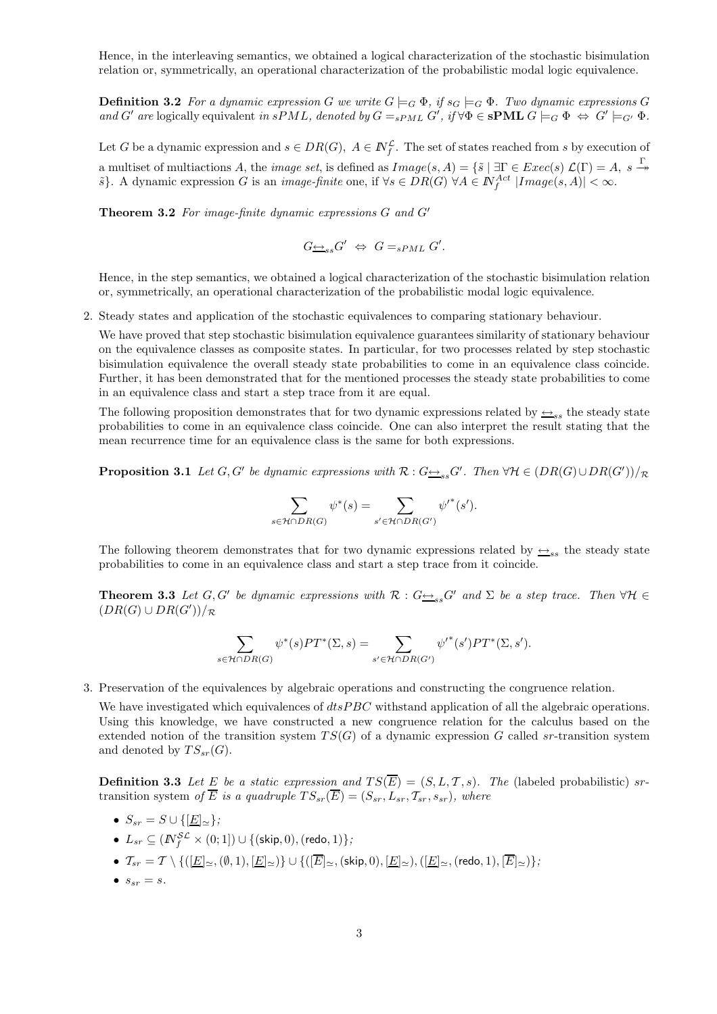Hence, in the interleaving semantics, we obtained a logical characterization of the stochastic bisimulation relation or, symmetrically, an operational characterization of the probabilistic modal logic equivalence.

**Definition 3.2** For a dynamic expression G we write  $G \models_G \Phi$ , if  $s_G \models_G \Phi$ . Two dynamic expressions G and G' are logically equivalent in sPML, denoted by  $G =_{sPML} G'$ , if  $\forall \Phi \in \mathbf{sPML}$   $G \models_G \Phi \Leftrightarrow G' \models_{G'} \Phi$ .

Let G be a dynamic expression and  $s \in DR(G)$ ,  $A \in \mathbb{N}_{f}^{\mathcal{L}}$ . The set of states reached from s by execution of a multiset of multiactions A, the *image set*, is defined as  $Image(s, A) = \{\tilde{s} \mid \exists \Gamma \in Excel(s) \mathcal{L}(\Gamma) = A, s \stackrel{\Gamma}{\rightarrow} \mathcal{L}(\Gamma) = A, s \stackrel{\Gamma}{\rightarrow} \mathcal{L}(\Gamma) = A, s \stackrel{\Gamma}{\rightarrow} \mathcal{L}(\Gamma) = A, s \stackrel{\Gamma}{\rightarrow} \mathcal{L}(\Gamma) = A, s \stackrel{\Gamma}{\rightarrow} \mathcal{L}(\Gamma) = A, s \stackrel{\Gamma}{\rightarrow} \mathcal{$  $\{\tilde{s}\}\$ . A dynamic expression G is an *image-finite* one, if  $\forall s \in DR(G)$   $\forall A \in \mathbb{N}_f^{Act}$   $|Image(s, A)| < \infty$ .

Theorem 3.2 For image-finite dynamic expressions G and G′

$$
G_{\longrightarrow_{ss}}G' \Leftrightarrow G=_{sPML}G'.
$$

Hence, in the step semantics, we obtained a logical characterization of the stochastic bisimulation relation or, symmetrically, an operational characterization of the probabilistic modal logic equivalence.

2. Steady states and application of the stochastic equivalences to comparing stationary behaviour.

We have proved that step stochastic bisimulation equivalence guarantees similarity of stationary behaviour on the equivalence classes as composite states. In particular, for two processes related by step stochastic bisimulation equivalence the overall steady state probabilities to come in an equivalence class coincide. Further, it has been demonstrated that for the mentioned processes the steady state probabilities to come in an equivalence class and start a step trace from it are equal.

The following proposition demonstrates that for two dynamic expressions related by  $\rightarrow_{ss}$  the steady state probabilities to come in an equivalence class coincide. One can also interpret the result stating that the mean recurrence time for an equivalence class is the same for both expressions.

**Proposition 3.1** Let  $G, G'$  be dynamic expressions with  $\mathcal{R}: G \rightarrowtail_{ss} G'.$  Then  $\forall \mathcal{H} \in (DR(G) \cup DR(G'))/\mathcal{R}$ 

$$
\sum_{s \in \mathcal{H} \cap DR(G)} \psi^*(s) = \sum_{s' \in \mathcal{H} \cap DR(G')} {\psi'}^*(s').
$$

The following theorem demonstrates that for two dynamic expressions related by  $\leftrightarrow$ <sub>ss</sub> the steady state probabilities to come in an equivalence class and start a step trace from it coincide.

**Theorem 3.3** Let  $G, G'$  be dynamic expressions with  $\mathcal{R}: G \rightarrowtail_{ss} G'$  and  $\Sigma$  be a step trace. Then  $\forall \mathcal{H} \in$  $(DR(G) \cup DR(G'))/R$ 

$$
\sum_{s \in \mathcal{H} \cap DR(G)} \psi^*(s) PT^*(\Sigma, s) = \sum_{s' \in \mathcal{H} \cap DR(G')} {\psi'}^*(s') PT^*(\Sigma, s').
$$

3. Preservation of the equivalences by algebraic operations and constructing the congruence relation.

We have investigated which equivalences of  $dt s PBC$  withstand application of all the algebraic operations. Using this knowledge, we have constructed a new congruence relation for the calculus based on the extended notion of the transition system  $TS(G)$  of a dynamic expression G called sr-transition system and denoted by  $TS_{sr}(G)$ .

**Definition 3.3** Let E be a static expression and  $TS(\overline{E}) = (S, L, T, s)$ . The (labeled probabilistic) srtransition system of  $\overline{E}$  is a quadruple  $TS_{sr}(\overline{E}) = (S_{sr}, L_{sr}, T_{sr}, s_{sr})$ , where

- $S_{sr} = S \cup \{[\underline{E}]_{\simeq}\};$
- $\bullet \ \ L_{sr} \subseteq (I\!\!N_f^{\mathcal{SL}} \times (0;1]) \cup \{(\mathsf{skip},0),(\mathsf{redo},1)\},$
- $\mathcal{T}_{sr} = \mathcal{T} \setminus \{([\underline{E}]_{\simeq},(\emptyset,1),[\underline{E}]_{\simeq})\} \cup \{([\overline{E}]_{\simeq},(\text{skip},0),[\underline{E}]_{\simeq}),([\underline{E}]_{\simeq},(\text{redo}, 1),[\overline{E}]_{\simeq})\};$
- $s_{sr} = s$ .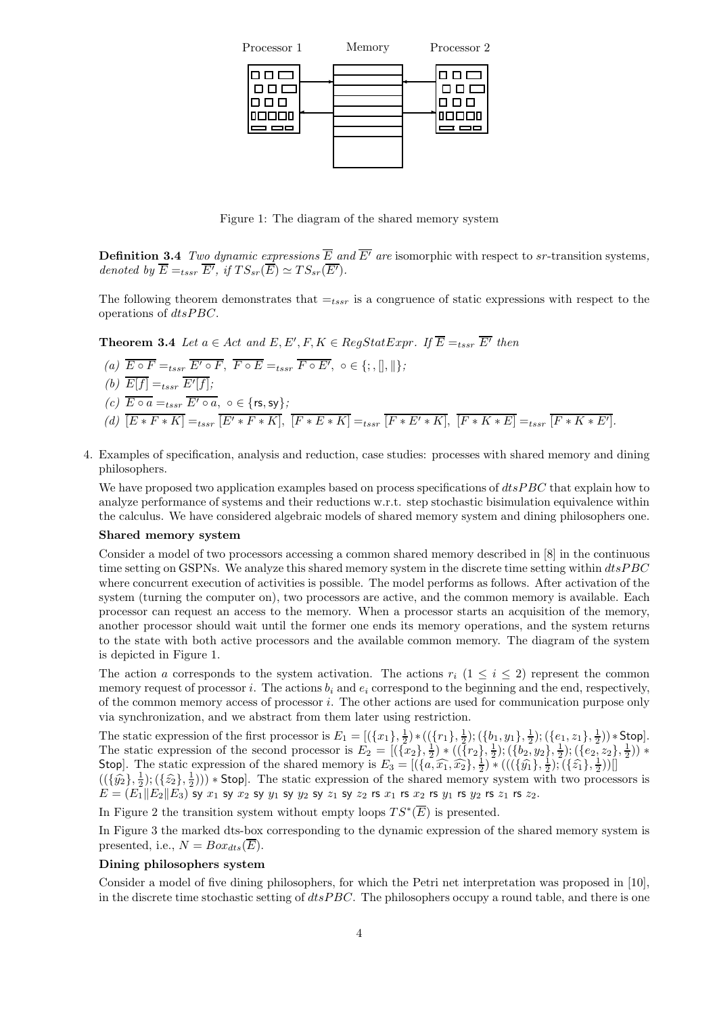

Figure 1: The diagram of the shared memory system

**Definition 3.4** Two dynamic expressions  $\overline{E}$  and  $\overline{E'}$  are isomorphic with respect to sr-transition systems, denoted by  $\overline{E} =_{tssr} \overline{E'}$ , if  $TS_{sr}(\overline{E}) \simeq TS_{sr}(\overline{E'}).$ 

The following theorem demonstrates that  $=t_{ssr}$  is a congruence of static expressions with respect to the operations of dtsPBC.

**Theorem 3.4** Let  $a \in Act$  and  $E, E', F, K \in RegStatexpr$ . If  $\overline{E} =_{tssr} \overline{E'}$  then (a)  $\overline{E \circ F} =_{tssr} \overline{E' \circ F}$ ,  $\overline{F \circ E} =_{tssr} \overline{F \circ E'}$ ,  $\circ \in \{ ; , [] , || \}$ ; (b)  $E[f] =_{tssr} E'[f];$  $(c) \overline{E \circ a} =_{tssr} \overline{E' \circ a}$ ,  $\circ \in \{\text{rs}, \text{sy}\};$ (d)  $[E * F * K] =_{tssr} [E' * F * K], [F * E * K] =_{tssr} [F * E' * K], [F * K * E] =_{tssr} [F * K * E'].$ 

4. Examples of specification, analysis and reduction, case studies: processes with shared memory and dining philosophers.

We have proposed two application examples based on process specifications of  $dtsPBC$  that explain how to analyze performance of systems and their reductions w.r.t. step stochastic bisimulation equivalence within the calculus. We have considered algebraic models of shared memory system and dining philosophers one.

#### Shared memory system

Consider a model of two processors accessing a common shared memory described in [8] in the continuous time setting on GSPNs. We analyze this shared memory system in the discrete time setting within  $dtsPBC$ where concurrent execution of activities is possible. The model performs as follows. After activation of the system (turning the computer on), two processors are active, and the common memory is available. Each processor can request an access to the memory. When a processor starts an acquisition of the memory, another processor should wait until the former one ends its memory operations, and the system returns to the state with both active processors and the available common memory. The diagram of the system is depicted in Figure 1.

The action a corresponds to the system activation. The actions  $r_i$  (1  $\leq i \leq 2$ ) represent the common memory request of processor i. The actions  $b_i$  and  $e_i$  correspond to the beginning and the end, respectively, of the common memory access of processor i. The other actions are used for communication purpose only via synchronization, and we abstract from them later using restriction.

The static expression of the first processor is  $E_1 = [(\{x_1\}, \frac{1}{2}) * ((\{r_1\}, \frac{1}{2}) ; (\{b_1, y_1\}, \frac{1}{2}) ; (\{e_1, z_1\}, \frac{1}{2})) * \text{Stop}].$ The static expression of the second processor is  $E_2 = [(\{x_2\}, \frac{1}{2}) * ((\{r_2\}, \frac{1}{2}) ; (\{b_2, y_2\}, \frac{1}{2}) ; (\{e_2, z_2\}, \frac{1}{2})) *$ Stop]. The static expression of the shared memory is  $E_3 = [(\lbrace a, \widehat{x_1}, \widehat{x_2} \rbrace, \frac{1}{2}) * (((\lbrace \widehat{y_1}, \frac{1}{2} \rbrace, \frac{1}{2}) , (\lbrace \widehat{z_1}, \frac{1}{2} \rbrace )^2 ]$ 

 $((\{\hat{y}_2\}, \frac{1}{2}); (\{\hat{z}_2\}, \frac{1}{2}))$  \* Stop]. The static expression of the shared memory system with two processors is  $E = (E_1||E_2||E_3)$  sy  $x_1$  sy  $x_2$  sy  $y_1$  sy  $y_2$  sy  $z_1$  sy  $z_2$  rs  $x_1$  rs  $x_2$  rs  $y_1$  rs  $y_2$  rs  $z_1$  rs  $z_2$ .

In Figure 2 the transition system without empty loops  $TS^*(\overline{E})$  is presented.

In Figure 3 the marked dts-box corresponding to the dynamic expression of the shared memory system is presented, i.e.,  $N = Box_{dts}(E)$ .

#### Dining philosophers system

Consider a model of five dining philosophers, for which the Petri net interpretation was proposed in [10], in the discrete time stochastic setting of  $dtsPBC$ . The philosophers occupy a round table, and there is one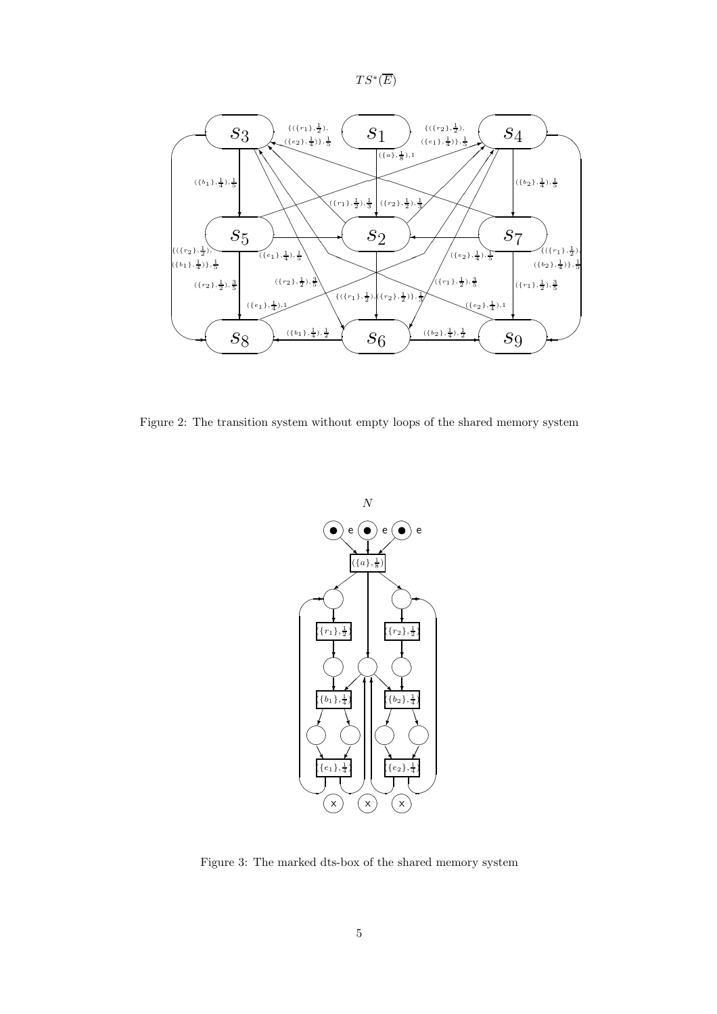



Figure 2: The transition system without empty loops of the shared memory system



Figure 3: The marked dts-box of the shared memory system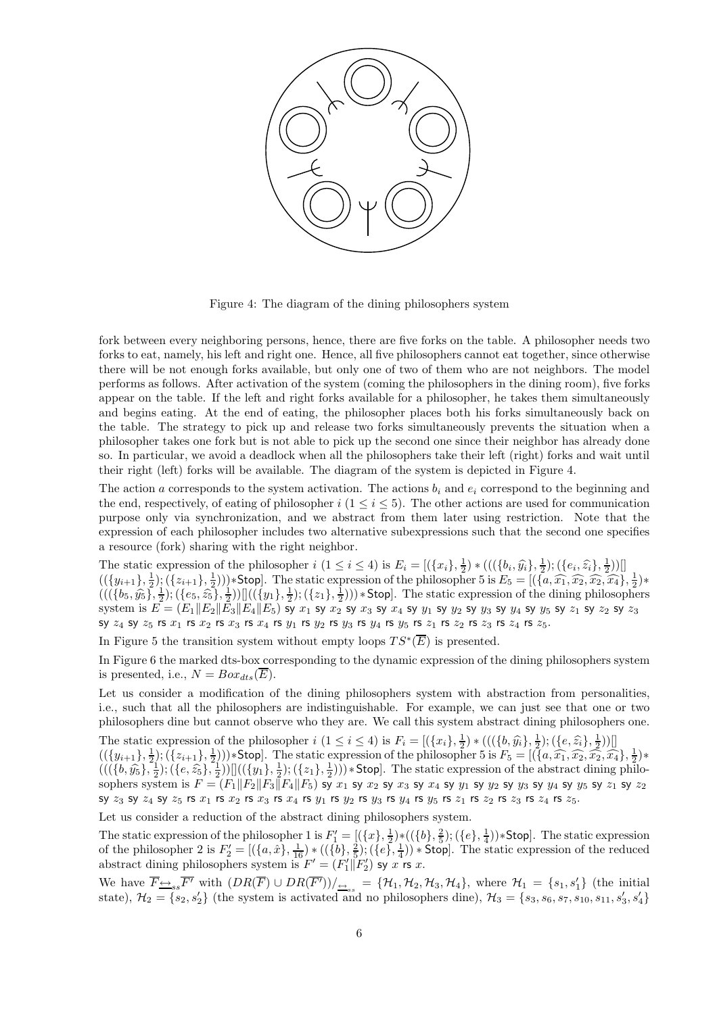

Figure 4: The diagram of the dining philosophers system

fork between every neighboring persons, hence, there are five forks on the table. A philosopher needs two forks to eat, namely, his left and right one. Hence, all five philosophers cannot eat together, since otherwise there will be not enough forks available, but only one of two of them who are not neighbors. The model performs as follows. After activation of the system (coming the philosophers in the dining room), five forks appear on the table. If the left and right forks available for a philosopher, he takes them simultaneously and begins eating. At the end of eating, the philosopher places both his forks simultaneously back on the table. The strategy to pick up and release two forks simultaneously prevents the situation when a philosopher takes one fork but is not able to pick up the second one since their neighbor has already done so. In particular, we avoid a deadlock when all the philosophers take their left (right) forks and wait until their right (left) forks will be available. The diagram of the system is depicted in Figure 4.

The action a corresponds to the system activation. The actions  $b_i$  and  $e_i$  correspond to the beginning and the end, respectively, of eating of philosopher  $i$  (1  $\leq i \leq 5$ ). The other actions are used for communication purpose only via synchronization, and we abstract from them later using restriction. Note that the expression of each philosopher includes two alternative subexpressions such that the second one specifies a resource (fork) sharing with the right neighbor.

The static expression of the philosopher  $i$   $(1 \leq i \leq 4)$  is  $E_i = [(\{x_i\}, \frac{1}{2}) * (((\{b_i, \hat{y}_i\}, \frac{1}{2}) ; (\{e_i, \hat{z}_i\}, \frac{1}{2}) )]$  $((\{y_{i+1}\},\frac{1}{2});(\{z_{i+1}\},\frac{1}{2}))$ \*Stop]. The static expression of the philosopher 5 is  $E_5 = [(\{a,\widehat{x_1},\widehat{x_2},\widehat{x_4}\},\frac{1}{2})$ \*  $(((\{b_5, \hat{y}_5\}, \frac{1}{2}); (\{e_5, \hat{z}_5\}, \frac{1}{2}))]]((\{y_1\}, \frac{1}{2}); (\{z_1\}, \frac{1}{2}))) * \text{Stop.}$  The static expression of the dining philosophers system is  $E=(E_1\|E_2\|E_3\|E_4\|E_5)$  sy  $x_1$  sy  $x_2$  sy  $x_3$  sy  $x_4$  sy  $y_1$  sy  $y_2$  sy  $y_3$  sy  $y_4$  sy  $y_5$  sy  $z_1$  sy  $z_2$  sy  $z_3$ sy  $z_4$  sy  $z_5$  rs  $x_1$  rs  $x_2$  rs  $x_3$  rs  $x_4$  rs  $y_1$  rs  $y_2$  rs  $y_3$  rs  $y_4$  rs  $y_5$  rs  $z_1$  rs  $z_2$  rs  $z_3$  rs  $z_4$  rs  $z_5$ .

In Figure 5 the transition system without empty loops  $TS^*(\overline{E})$  is presented.

In Figure 6 the marked dts-box corresponding to the dynamic expression of the dining philosophers system is presented, i.e.,  $N = Box_{dts}(\overline{E}).$ 

Let us consider a modification of the dining philosophers system with abstraction from personalities, i.e., such that all the philosophers are indistinguishable. For example, we can just see that one or two philosophers dine but cannot observe who they are. We call this system abstract dining philosophers one.

The static expression of the philosopher  $i$   $(1 \le i \le 4)$  is  $F_i = [(\{x_i\}, \frac{1}{2}) * (((\{b, \hat{y_i}\}, \frac{1}{2}) ; (\{e, \hat{z}_i\}, \frac{1}{2}))]]$ The static expression of the philosopher  $i$  ( $1 \le i \le 4$ ) is  $1 \in \mathbb{N}$  (({ $v_3v_1$ ,  $v_2$ ), (( $v_3v_3$ ,  $v_2$ ), (( $v_3v_3$ ,  $v_2$ ))|i]<br>(({ $y_{i+1}$ },  $\frac{1}{2}$ ); ({ $z_{i+1}$ },  $\frac{1}{2}$ )))∗Stop]. The static expression of  $(((\{b,\hat{y}_5\}, \frac{1}{2}); (\{e,\hat{z}_5\}, \frac{1}{2}))][((\{y_1\}, \frac{1}{2}); (\{z_1\}, \frac{1}{2}))) * \text{Stop}].$  The static expression of the abstract dining philosophers system is  $F=(F_1\|F_2\|F_3\|F_4\|F_5)$  sy  $x_1$  sy  $x_2$  sy  $x_3$  sy  $x_4$  sy  $y_1$  sy  $y_2$  sy  $y_3$  sy  $y_4$  sy  $y_5$  sy  $z_1$  sy  $z_2$ sy  $z_3$  sy  $z_4$  sy  $z_5$  rs  $x_1$  rs  $x_2$  rs  $x_3$  rs  $x_4$  rs  $y_1$  rs  $y_2$  rs  $y_3$  rs  $y_4$  rs  $y_5$  rs  $z_1$  rs  $z_2$  rs  $z_3$  rs  $z_4$  rs  $z_5$ .

Let us consider a reduction of the abstract dining philosophers system.

The static expression of the philosopher 1 is  $F_1' = [(\{x\}, \frac{1}{2}) * ((\{b\}, \frac{2}{5}) ; (\{e\}, \frac{1}{4})) *$ Stop]. The static expression of the philosopher 2 is  $F_2' = [(\{a, \hat{x}\}, \frac{1}{16}) * ((\{b\}, \frac{2}{5}) ; (\{e\}, \frac{1}{4})) * \text{Stop}].$  The static expression of the reduced abstract dining philosophers system is  $F' = (F'_1 | F'_2)$  sy x rs x.

We have  $\overline{F} \rightarrow s \overline{F'}$  with  $(DR(\overline{F})) \cup DR(\overline{F'}))/_{\overline{F} s} = {\mathcal{H}_1, \mathcal{H}_2, \mathcal{H}_3, \mathcal{H}_4}$ , where  $\mathcal{H}_1 = \{s_1, s'_1\}$  (the initial state),  $\mathcal{H}_2 = \{s_2, s'_2\}$  (the system is activated and no philosophers dine),  $\mathcal{H}_3 = \{s_3, s_6, s_7, s_{10}, s_{11}, s'_3, s'_4\}$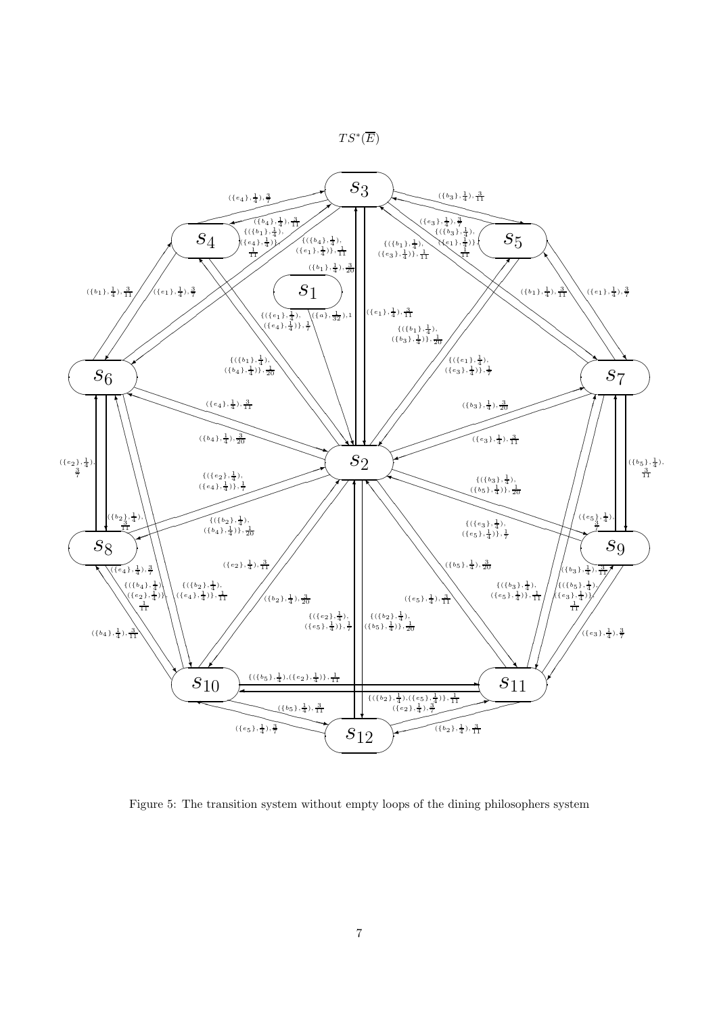



Figure 5: The transition system without empty loops of the dining philosophers system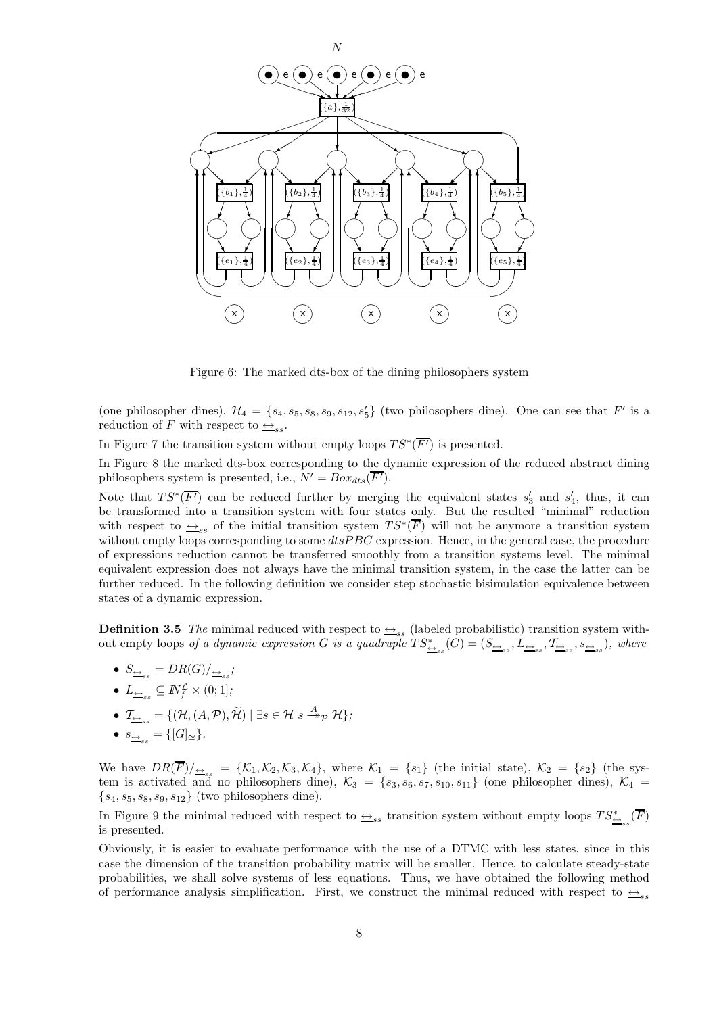

Figure 6: The marked dts-box of the dining philosophers system

(one philosopher dines),  $\mathcal{H}_4 = \{s_4, s_5, s_8, s_9, s_{12}, s'_5\}$  (two philosophers dine). One can see that  $F'$  is a reduction of F with respect to  $\leftrightarrow_{ss}$ .

In Figure 7 the transition system without empty loops  $TS^*(\overline{F'})$  is presented.

In Figure 8 the marked dts-box corresponding to the dynamic expression of the reduced abstract dining philosophers system is presented, i.e.,  $N' = Box_{dts}(\overline{F}).$ 

Note that  $TS^*(\overline{F'})$  can be reduced further by merging the equivalent states  $s'_3$  and  $s'_4$ , thus, it can be transformed into a transition system with four states only. But the resulted "minimal" reduction with respect to  $\leq_{ss}$  of the initial transition system  $TS^*(\overline{F})$  will not be anymore a transition system without empty loops corresponding to some  $dtsPBC$  expression. Hence, in the general case, the procedure of expressions reduction cannot be transferred smoothly from a transition systems level. The minimal equivalent expression does not always have the minimal transition system, in the case the latter can be further reduced. In the following definition we consider step stochastic bisimulation equivalence between states of a dynamic expression.

**Definition 3.5** The minimal reduced with respect to  $\rightarrow$ <sub>ss</sub> (labeled probabilistic) transition system without empty loops of a dynamic expression G is a quadruple  $TS^*_{\underline{\leftrightarrow}_{ss}}(G) = (S_{\underline{\leftrightarrow}_{ss}}, L_{\underline{\leftrightarrow}_{ss}}, \mathcal{T}_{\underline{\leftrightarrow}_{ss}}, s_{\underline{\leftrightarrow}_{ss}})$ , where

- $\bullet$   $S_{\underline{\leftrightarrow}_{ss}}=DR(G)/_{\underline{\leftrightarrow}_{ss}};$
- $\bullet$   $L_{\underline{\leftrightarrow}_{ss}} \subseteq M_f^{\mathcal{L}} \times (0,1];$
- $\bullet$   $\mathcal{T}_{\underline{\leftrightarrow}_{ss}} = \{(\mathcal{H}, (A, \mathcal{P}), \widetilde{\mathcal{H}}) \mid \exists s \in \mathcal{H} \; s \stackrel{A}{\twoheadrightarrow}_{\mathcal{P}} \mathcal{H}\};$
- $\bullet \ \ s_{\underline{\leftrightarrow}_{ss}} = \{[G]_{\simeq}\}.$

We have  $DR(F)|_{\underset{\text{ss}}{ \triangleq s}} = {\mathcal{K}_1, \mathcal{K}_2, \mathcal{K}_3, \mathcal{K}_4}$ , where  $\mathcal{K}_1 = \{s_1\}$  (the initial state),  $\mathcal{K}_2 = \{s_2\}$  (the system is activated and no philosophers dine),  $\mathcal{K}_3 = \{s_3, s_6, s_7, s_{10}, s_{11}\}\$  (one philosopher dines),  $\mathcal{K}_4 =$  $\{s_4, s_5, s_8, s_9, s_{12}\}$  (two philosophers dine).

In Figure 9 the minimal reduced with respect to  $\underset{ss}{\leftrightarrow}_{ss}$  transition system without empty loops  $TS^*_{\frac{\leftrightarrow}{\leftarrow}_{ss}}(\overline{F})$ is presented.

Obviously, it is easier to evaluate performance with the use of a DTMC with less states, since in this case the dimension of the transition probability matrix will be smaller. Hence, to calculate steady-state probabilities, we shall solve systems of less equations. Thus, we have obtained the following method of performance analysis simplification. First, we construct the minimal reduced with respect to  $\leftrightarrow$ ss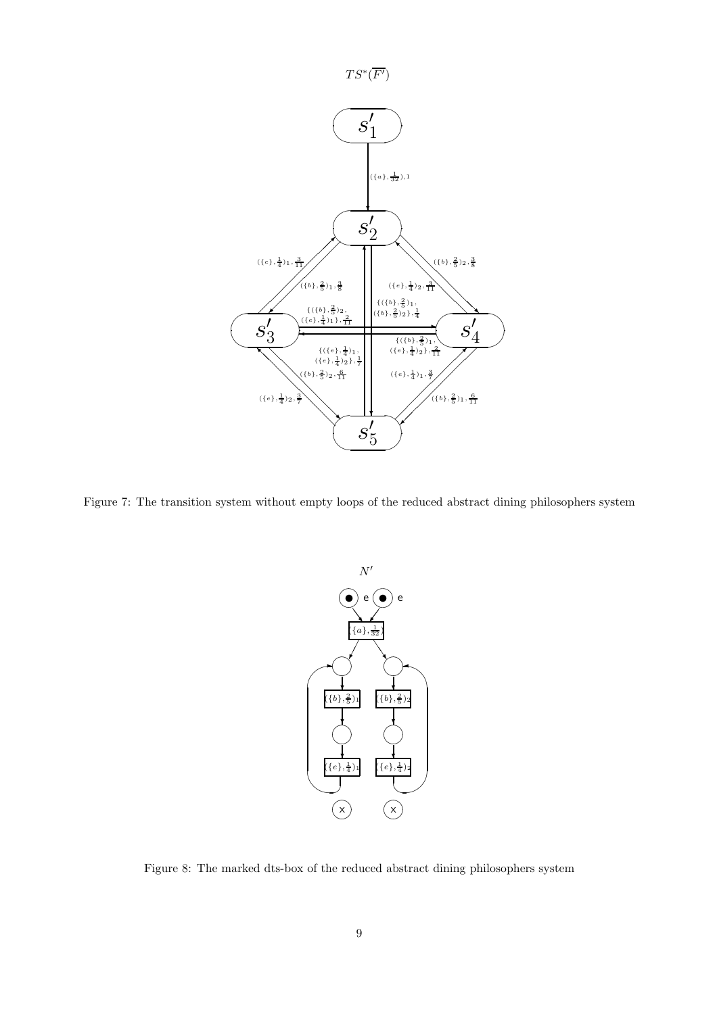

Figure 7: The transition system without empty loops of the reduced abstract dining philosophers system



Figure 8: The marked dts-box of the reduced abstract dining philosophers system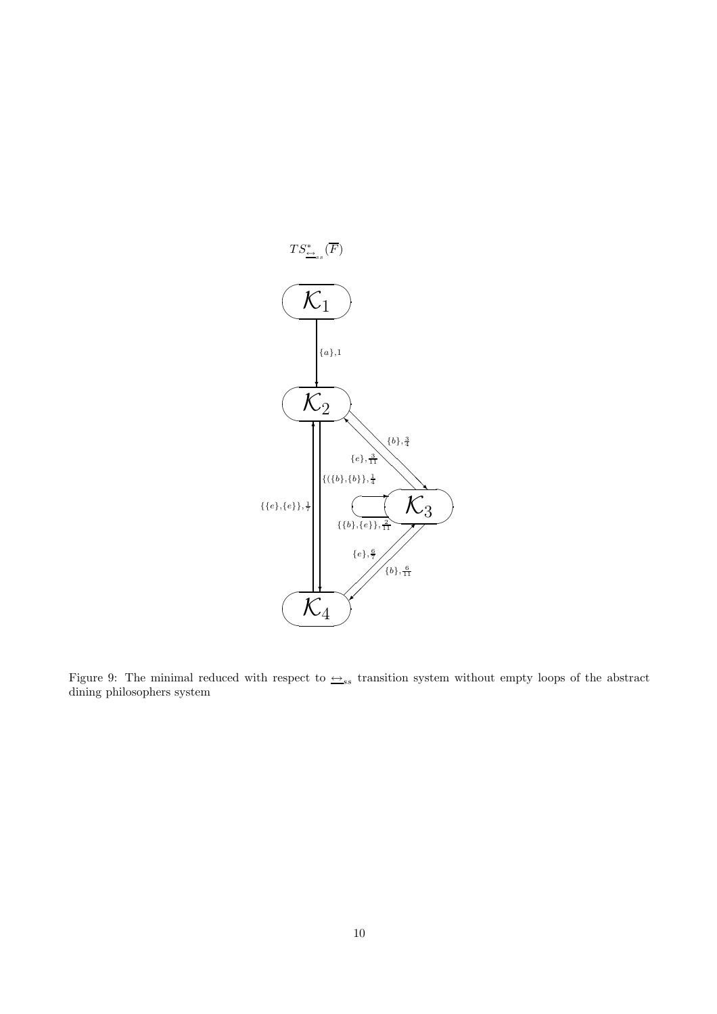

Figure 9: The minimal reduced with respect to  $\triangleq_{ss}$  transition system without empty loops of the abstract dining philosophers system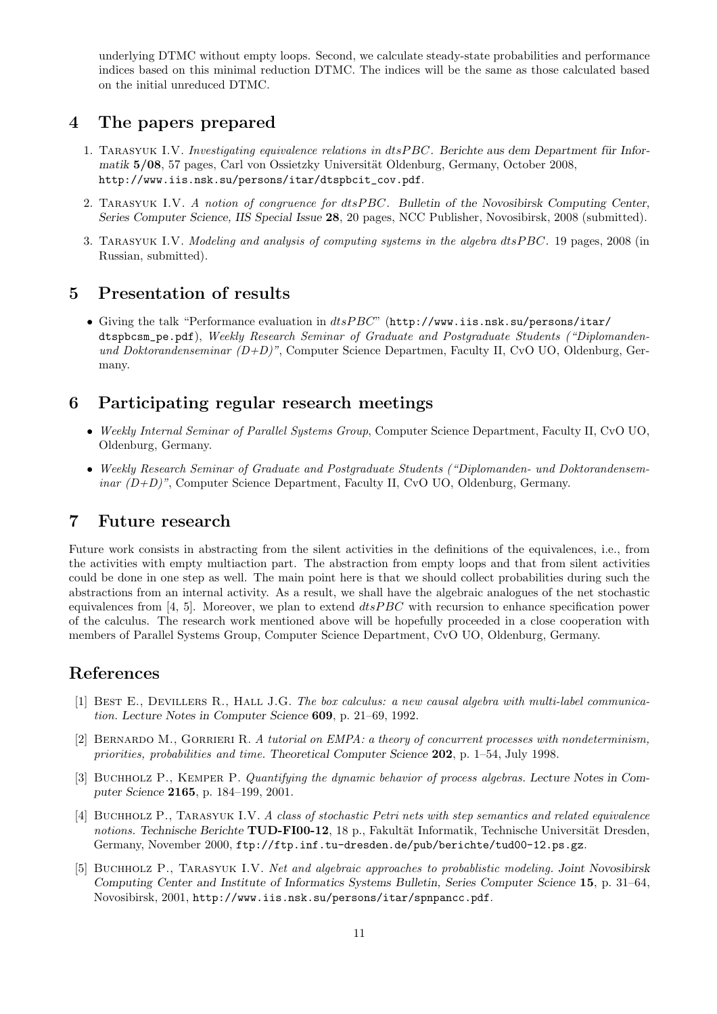underlying DTMC without empty loops. Second, we calculate steady-state probabilities and performance indices based on this minimal reduction DTMC. The indices will be the same as those calculated based on the initial unreduced DTMC.

### 4 The papers prepared

- 1. TARASYUK I.V. Investigating equivalence relations in  $dtsPBC$ . Berichte aus dem Department für Informatik 5/08, 57 pages, Carl von Ossietzky Universität Oldenburg, Germany, October 2008, http://www.iis.nsk.su/persons/itar/dtspbcit\_cov.pdf.
- 2. TARASYUK I.V. A notion of congruence for dtsPBC. Bulletin of the Novosibirsk Computing Center, Series Computer Science, IIS Special Issue 28, 20 pages, NCC Publisher, Novosibirsk, 2008 (submitted).
- 3. Tarasyuk I.V. Modeling and analysis of computing systems in the algebra dtsPBC. 19 pages, 2008 (in Russian, submitted).

# 5 Presentation of results

• Giving the talk "Performance evaluation in dtsPBC" (http://www.iis.nsk.su/persons/itar/ dtspbcsm\_pe.pdf), Weekly Research Seminar of Graduate and Postgraduate Students ("Diplomandenund Doktorandenseminar  $(D+D)$ ", Computer Science Departmen, Faculty II, CvO UO, Oldenburg, Germany.

# 6 Participating regular research meetings

- Weekly Internal Seminar of Parallel Systems Group, Computer Science Department, Faculty II, CvO UO, Oldenburg, Germany.
- Weekly Research Seminar of Graduate and Postgraduate Students ("Diplomanden- und Doktorandensem $inar (D+D)$ ", Computer Science Department, Faculty II, CvO UO, Oldenburg, Germany.

# 7 Future research

Future work consists in abstracting from the silent activities in the definitions of the equivalences, i.e., from the activities with empty multiaction part. The abstraction from empty loops and that from silent activities could be done in one step as well. The main point here is that we should collect probabilities during such the abstractions from an internal activity. As a result, we shall have the algebraic analogues of the net stochastic equivalences from [4, 5]. Moreover, we plan to extend  $dtsPBC$  with recursion to enhance specification power of the calculus. The research work mentioned above will be hopefully proceeded in a close cooperation with members of Parallel Systems Group, Computer Science Department, CvO UO, Oldenburg, Germany.

# References

- [1] Best E., Devillers R., Hall J.G. The box calculus: a new causal algebra with multi-label communication. Lecture Notes in Computer Science 609, p. 21–69, 1992.
- [2] BERNARDO M., GORRIERI R. A tutorial on EMPA: a theory of concurrent processes with nondeterminism, priorities, probabilities and time. Theoretical Computer Science 202, p. 1–54, July 1998.
- [3] BUCHHOLZ P., KEMPER P. Quantifying the dynamic behavior of process algebras. Lecture Notes in Computer Science 2165, p. 184–199, 2001.
- [4] Buchholz P., Tarasyuk I.V. A class of stochastic Petri nets with step semantics and related equivalence notions. Technische Berichte TUD-FI00-12, 18 p., Fakultät Informatik, Technische Universität Dresden, Germany, November 2000, ftp://ftp.inf.tu-dresden.de/pub/berichte/tud00-12.ps.gz.
- [5] Buchholz P., Tarasyuk I.V. Net and algebraic approaches to probablistic modeling. Joint Novosibirsk Computing Center and Institute of Informatics Systems Bulletin, Series Computer Science 15, p. 31–64, Novosibirsk, 2001, http://www.iis.nsk.su/persons/itar/spnpancc.pdf.